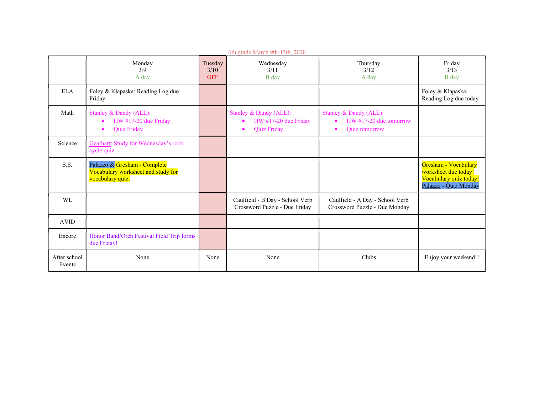| 6th grade March 9th-13th, 2020 |                                                                                                           |                               |                                                                                                           |                                                                                       |                                                                                                 |  |  |  |  |
|--------------------------------|-----------------------------------------------------------------------------------------------------------|-------------------------------|-----------------------------------------------------------------------------------------------------------|---------------------------------------------------------------------------------------|-------------------------------------------------------------------------------------------------|--|--|--|--|
|                                | Monday<br>3/9<br>A day                                                                                    | Tuesday<br>3/10<br><b>OFF</b> | Wednesday<br>3/11<br>B day                                                                                | Thursday<br>3/12<br>A day                                                             | Friday<br>3/13<br>B day                                                                         |  |  |  |  |
| <b>ELA</b>                     | Foley & Klapaska: Reading Log due<br>Friday                                                               |                               |                                                                                                           |                                                                                       | Foley & Klapaska:<br>Reading Log due today                                                      |  |  |  |  |
| Math                           | <b>Stanley &amp; Dandy (ALL):</b><br>HW #17-20 due Friday<br>$\bullet$<br><b>Ouiz Friday</b><br>$\bullet$ |                               | <b>Stanley &amp; Dandy (ALL):</b><br>HW #17-20 due Friday<br>$\bullet$<br><b>Ouiz Friday</b><br>$\bullet$ | <b>Stanley &amp; Dandy (ALL):</b><br>$HW #17-20$ due tomorrow<br><b>Quiz</b> tomorrow |                                                                                                 |  |  |  |  |
| Science                        | Gearhart: Study for Wednesday's rock<br>cycle quiz                                                        |                               |                                                                                                           |                                                                                       |                                                                                                 |  |  |  |  |
| S.S.                           | Palazzo & Gresham - Complete<br>Vocabulary worksheet and study for<br>vocabulary quiz.                    |                               |                                                                                                           |                                                                                       | Gresham - Vocabulary<br>worksheet due today!<br>Vocabulary quiz today!<br>Palazzo - Quiz Monday |  |  |  |  |
| <b>WL</b>                      |                                                                                                           |                               | Caulfield - B Day - School Verb<br>Crossword Puzzle - Due Friday                                          | Caulfield - A Day - School Verb<br>Crossword Puzzle - Due Monday                      |                                                                                                 |  |  |  |  |
| <b>AVID</b>                    |                                                                                                           |                               |                                                                                                           |                                                                                       |                                                                                                 |  |  |  |  |
| Encore                         | Honor Band/Orch Festival Field Trip forms<br>due Friday!                                                  |                               |                                                                                                           |                                                                                       |                                                                                                 |  |  |  |  |
| After school<br>Events         | None                                                                                                      | None                          | None                                                                                                      | Clubs                                                                                 | Enjoy your weekend!!                                                                            |  |  |  |  |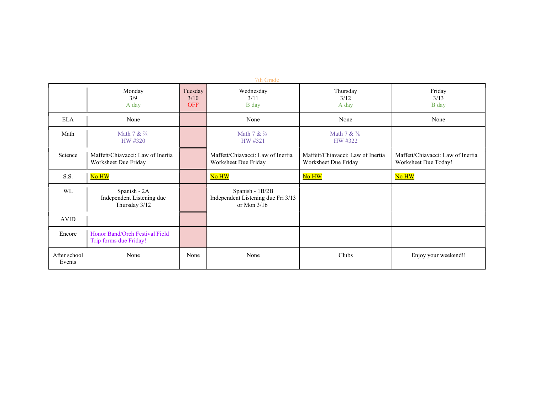| 7th Grade              |                                                            |                               |                                                                        |                                                           |                                                           |  |  |
|------------------------|------------------------------------------------------------|-------------------------------|------------------------------------------------------------------------|-----------------------------------------------------------|-----------------------------------------------------------|--|--|
|                        | Monday<br>3/9<br>A day                                     | Tuesday<br>3/10<br><b>OFF</b> | Wednesday<br>3/11<br>B day                                             | Thursday<br>3/12<br>A day                                 | Friday<br>3/13<br>B day                                   |  |  |
| <b>ELA</b>             | None                                                       |                               | None                                                                   | None                                                      | None                                                      |  |  |
| Math                   | Math $7 & 4$<br>HW #320                                    |                               | Math 7 & 1/8<br>HW #321                                                | Math 7 & 1/8<br>HW #322                                   |                                                           |  |  |
| Science                | Maffett/Chiavacci: Law of Inertia<br>Worksheet Due Friday  |                               | Maffett/Chiavacci: Law of Inertia<br>Worksheet Due Friday              | Maffett/Chiavacci: Law of Inertia<br>Worksheet Due Friday | Maffett/Chiavacci: Law of Inertia<br>Worksheet Due Today! |  |  |
| S.S.                   | No HW                                                      |                               | No HW                                                                  | No HW                                                     | No HW                                                     |  |  |
| WL                     | Spanish - 2A<br>Independent Listening due<br>Thursday 3/12 |                               | Spanish - 1B/2B<br>Independent Listening due Fri 3/13<br>or Mon $3/16$ |                                                           |                                                           |  |  |
| <b>AVID</b>            |                                                            |                               |                                                                        |                                                           |                                                           |  |  |
| Encore                 | Honor Band/Orch Festival Field<br>Trip forms due Friday!   |                               |                                                                        |                                                           |                                                           |  |  |
| After school<br>Events | None                                                       | None                          | None                                                                   | Clubs                                                     | Enjoy your weekend!!                                      |  |  |